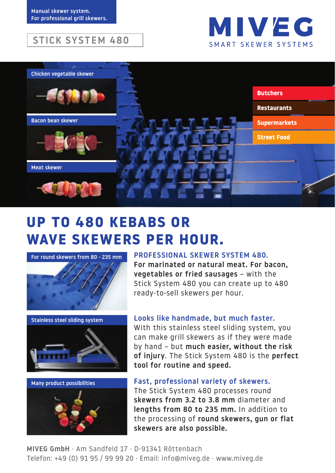### **STICK SYSTEM 480**





# **UP TO 480 KEBABS OR WAVE SKEWERS PER HOUR.**



Stainless steel sliding system





#### PROFESSIONAL SKEWER SYSTEM 480.

For marinated or natural meat. For bacon, vegetables or fried sausages – with the Stick System 480 you can create up to 480 ready-to-sell skewers per hour.

#### Looks like handmade, but much faster.

With this stainless steel sliding system, you can make grill skewers as if they were made by hand – but much easier, without the risk of injury. The Stick System 480 is the perfect tool for routine and speed.

Fast, professional variety of skewers. The Stick System 480 processes round skewers from 3.2 to 3.8 mm diameter and lengths from 80 to 235 mm. In addition to the processing of round skewers, gun or flat skewers are also possible.

MIVEG GmbH · Am Sandfeld 17 · D-91341 Röttenbach Telefon: +49 (0) 91 95 / 99 99 20 · Email: info@miveg.de · www.miveg.de